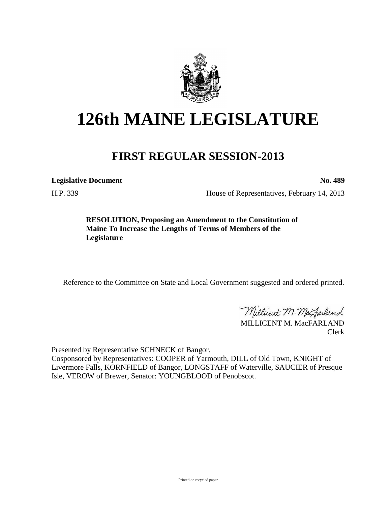

## **126th MAINE LEGISLATURE**

## **FIRST REGULAR SESSION-2013**

**Legislative Document No. 489**

H.P. 339 House of Representatives, February 14, 2013

**RESOLUTION, Proposing an Amendment to the Constitution of Maine To Increase the Lengths of Terms of Members of the Legislature**

Reference to the Committee on State and Local Government suggested and ordered printed.

Millicent M. Mac Failand

MILLICENT M. MacFARLAND Clerk

Presented by Representative SCHNECK of Bangor.

Cosponsored by Representatives: COOPER of Yarmouth, DILL of Old Town, KNIGHT of Livermore Falls, KORNFIELD of Bangor, LONGSTAFF of Waterville, SAUCIER of Presque Isle, VEROW of Brewer, Senator: YOUNGBLOOD of Penobscot.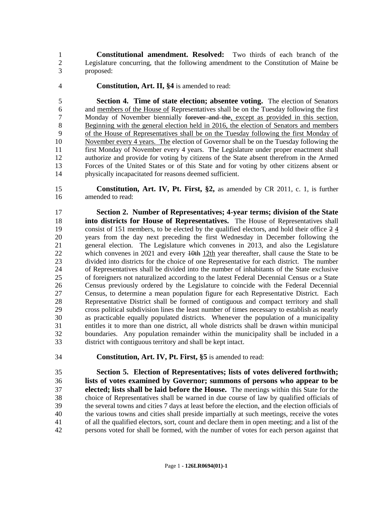**Constitutional amendment. Resolved:** Two thirds of each branch of the Legislature concurring, that the following amendment to the Constitution of Maine be proposed:

**Constitution, Art. II, §4** is amended to read:

 **Section 4. Time of state election; absentee voting.** The election of Senators and members of the House of Representatives shall be on the Tuesday following the first 7 Monday of November biennially for ever and the, except as provided in this section. 8 Beginning with the general election held in 2016, the election of Senators and members of the House of Representatives shall be on the Tuesday following the first Monday of 10 November every 4 years. The election of Governor shall be on the Tuesday following the first Monday of November every 4 years. The Legislature under proper enactment shall authorize and provide for voting by citizens of the State absent therefrom in the Armed Forces of the United States or of this State and for voting by other citizens absent or physically incapacitated for reasons deemed sufficient.

 **Constitution, Art. IV, Pt. First, §2,** as amended by CR 2011, c. 1, is further amended to read:

 **Section 2. Number of Representatives; 4-year terms; division of the State into districts for House of Representatives.** The House of Representatives shall consist of 151 members, to be elected by the qualified electors, and hold their office 2 4 years from the day next preceding the first Wednesday in December following the general election. The Legislature which convenes in 2013, and also the Legislature 22 which convenes in 2021 and every 10th 12th year thereafter, shall cause the State to be divided into districts for the choice of one Representative for each district. The number of Representatives shall be divided into the number of inhabitants of the State exclusive of foreigners not naturalized according to the latest Federal Decennial Census or a State Census previously ordered by the Legislature to coincide with the Federal Decennial Census, to determine a mean population figure for each Representative District. Each Representative District shall be formed of contiguous and compact territory and shall cross political subdivision lines the least number of times necessary to establish as nearly as practicable equally populated districts. Whenever the population of a municipality entitles it to more than one district, all whole districts shall be drawn within municipal boundaries. Any population remainder within the municipality shall be included in a district with contiguous territory and shall be kept intact.

**Constitution, Art. IV, Pt. First, §5** is amended to read:

 **Section 5. Election of Representatives; lists of votes delivered forthwith; lists of votes examined by Governor; summons of persons who appear to be elected; lists shall be laid before the House.** The meetings within this State for the choice of Representatives shall be warned in due course of law by qualified officials of the several towns and cities 7 days at least before the election, and the election officials of the various towns and cities shall preside impartially at such meetings, receive the votes of all the qualified electors, sort, count and declare them in open meeting; and a list of the persons voted for shall be formed, with the number of votes for each person against that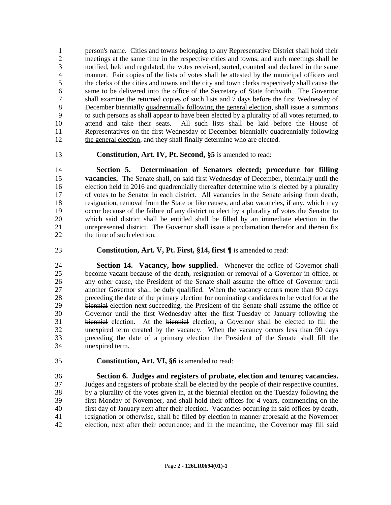person's name. Cities and towns belonging to any Representative District shall hold their meetings at the same time in the respective cities and towns; and such meetings shall be notified, held and regulated, the votes received, sorted, counted and declared in the same manner. Fair copies of the lists of votes shall be attested by the municipal officers and the clerks of the cities and towns and the city and town clerks respectively shall cause the same to be delivered into the office of the Secretary of State forthwith. The Governor shall examine the returned copies of such lists and 7 days before the first Wednesday of 8 December biennially quadrennially following the general election, shall issue a summons to such persons as shall appear to have been elected by a plurality of all votes returned, to attend and take their seats. All such lists shall be laid before the House of Representatives on the first Wednesday of December biennially quadrennially following the general election, and they shall finally determine who are elected.

**Constitution, Art. IV, Pt. Second, §5** is amended to read:

 **Section 5. Determination of Senators elected; procedure for filling vacancies.** The Senate shall, on said first Wednesday of December, biennially until the election held in 2016 and quadrennially thereafter determine who is elected by a plurality of votes to be Senator in each district. All vacancies in the Senate arising from death, resignation, removal from the State or like causes, and also vacancies, if any, which may occur because of the failure of any district to elect by a plurality of votes the Senator to which said district shall be entitled shall be filled by an immediate election in the unrepresented district. The Governor shall issue a proclamation therefor and therein fix the time of such election.

**Constitution, Art. V, Pt. First, §14, first ¶** is amended to read:

 **Section 14. Vacancy, how supplied.** Whenever the office of Governor shall become vacant because of the death, resignation or removal of a Governor in office, or any other cause, the President of the Senate shall assume the office of Governor until another Governor shall be duly qualified. When the vacancy occurs more than 90 days preceding the date of the primary election for nominating candidates to be voted for at the 29 biennial election next succeeding, the President of the Senate shall assume the office of Governor until the first Wednesday after the first Tuesday of January following the biennial election. At the biennial election, a Governor shall be elected to fill the unexpired term created by the vacancy. When the vacancy occurs less than 90 days preceding the date of a primary election the President of the Senate shall fill the unexpired term.

**Constitution, Art. VI, §6** is amended to read:

 **Section 6. Judges and registers of probate, election and tenure; vacancies.**  Judges and registers of probate shall be elected by the people of their respective counties, 38 by a plurality of the votes given in, at the biennial election on the Tuesday following the first Monday of November, and shall hold their offices for 4 years, commencing on the first day of January next after their election. Vacancies occurring in said offices by death, resignation or otherwise, shall be filled by election in manner aforesaid at the November election, next after their occurrence; and in the meantime, the Governor may fill said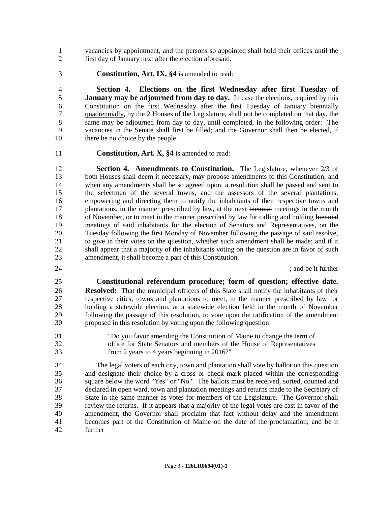vacancies by appointment, and the persons so appointed shall hold their offices until the first day of January next after the election aforesaid.

**Constitution, Art. IX, §4** is amended to read:

 **Section 4. Elections on the first Wednesday after first Tuesday of January may be adjourned from day to day.** In case the elections, required by this Constitution on the first Wednesday after the first Tuesday of January biennially quadrennially, by the 2 Houses of the Legislature, shall not be completed on that day, the same may be adjourned from day to day, until completed, in the following order: The vacancies in the Senate shall first be filled; and the Governor shall then be elected, if 10 there be no choice by the people.

**Constitution, Art. X, §4** is amended to read:

 **Section 4. Amendments to Constitution.** The Legislature, whenever 2/3 of both Houses shall deem it necessary, may propose amendments to this Constitution; and when any amendments shall be so agreed upon, a resolution shall be passed and sent to the selectmen of the several towns, and the assessors of the several plantations, empowering and directing them to notify the inhabitants of their respective towns and 17 plantations, in the manner prescribed by law, at the next biennial meetings in the month 18 of November, or to meet in the manner prescribed by law for calling and holding biennial meetings of said inhabitants for the election of Senators and Representatives, on the Tuesday following the first Monday of November following the passage of said resolve, to give in their votes on the question, whether such amendment shall be made; and if it 22 shall appear that a majority of the inhabitants voting on the question are in favor of such amendment, it shall become a part of this Constitution.

24 **24** *24 24 24* **<b>***and be it further and be it further and be it further* 

- **Constitutional referendum procedure; form of question; effective date. Resolved:** That the municipal officers of this State shall notify the inhabitants of their respective cities, towns and plantations to meet, in the manner prescribed by law for holding a statewide election, at a statewide election held in the month of November following the passage of this resolution, to vote upon the ratification of the amendment proposed in this resolution by voting upon the following question:
- "Do you favor amending the Constitution of Maine to change the term of office for State Senators and members of the House of Representatives from 2 years to 4 years beginning in 2016?"

 The legal voters of each city, town and plantation shall vote by ballot on this question and designate their choice by a cross or check mark placed within the corresponding square below the word "Yes" or "No." The ballots must be received, sorted, counted and declared in open ward, town and plantation meetings and returns made to the Secretary of State in the same manner as votes for members of the Legislature. The Governor shall review the returns. If it appears that a majority of the legal votes are cast in favor of the amendment, the Governor shall proclaim that fact without delay and the amendment becomes part of the Constitution of Maine on the date of the proclamation; and be it further